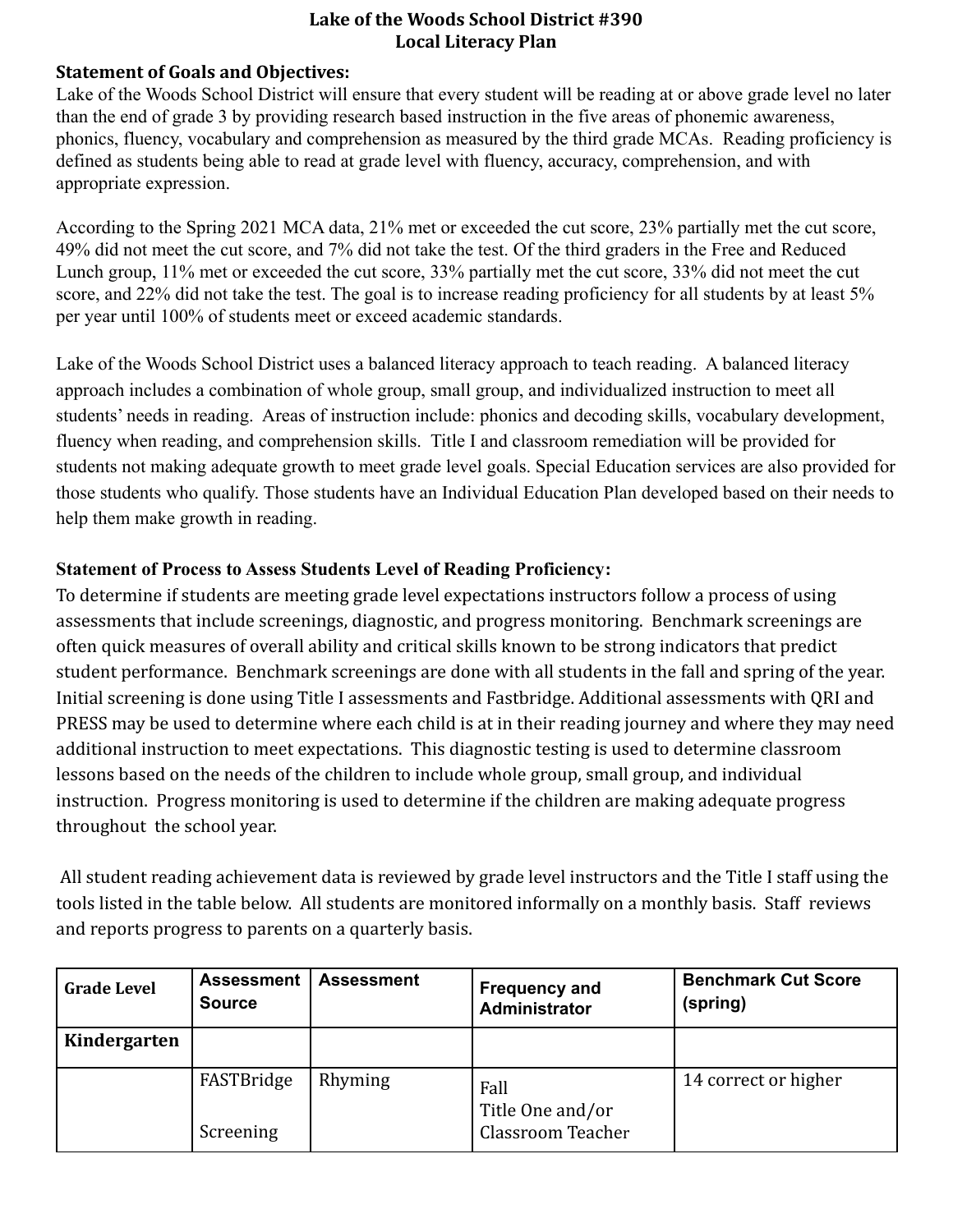#### **Statement of Goals and Objectives:**

Lake of the Woods School District will ensure that every student will be reading at or above grade level no later than the end of grade 3 by providing research based instruction in the five areas of phonemic awareness, phonics, fluency, vocabulary and comprehension as measured by the third grade MCAs. Reading proficiency is defined as students being able to read at grade level with fluency, accuracy, comprehension, and with appropriate expression.

According to the Spring 2021 MCA data, 21% met or exceeded the cut score, 23% partially met the cut score, 49% did not meet the cut score, and 7% did not take the test. Of the third graders in the Free and Reduced Lunch group, 11% met or exceeded the cut score, 33% partially met the cut score, 33% did not meet the cut score, and 22% did not take the test. The goal is to increase reading proficiency for all students by at least 5% per year until 100% of students meet or exceed academic standards.

Lake of the Woods School District uses a balanced literacy approach to teach reading. A balanced literacy approach includes a combination of whole group, small group, and individualized instruction to meet all students' needs in reading. Areas of instruction include: phonics and decoding skills, vocabulary development, fluency when reading, and comprehension skills. Title I and classroom remediation will be provided for students not making adequate growth to meet grade level goals. Special Education services are also provided for those students who qualify. Those students have an Individual Education Plan developed based on their needs to help them make growth in reading.

### **Statement of Process to Assess Students Level of Reading Proficiency:**

To determine if students are meeting grade level expectations instructors follow a process of using assessments that include screenings, diagnostic, and progress monitoring. Benchmark screenings are often quick measures of overall ability and critical skills known to be strong indicators that predict student performance. Benchmark screenings are done with all students in the fall and spring of the year. Initial screening is done using Title I assessments and Fastbridge. Additional assessments with QRI and PRESS may be used to determine where each child is at in their reading journey and where they may need additional instruction to meet expectations. This diagnostic testing is used to determine classroom lessons based on the needs of the children to include whole group, small group, and individual instruction. Progress monitoring is used to determine if the children are making adequate progress throughout the school year.

All student reading achievement data is reviewed by grade level instructors and the Title I staff using the tools listed in the table below. All students are monitored informally on a monthly basis. Staff reviews and reports progress to parents on a quarterly basis.

| <b>Grade Level</b> | <b>Assessment</b><br><b>Source</b> | <b>Assessment</b> | <b>Frequency and</b><br><b>Administrator</b>  | <b>Benchmark Cut Score</b><br>(spring) |
|--------------------|------------------------------------|-------------------|-----------------------------------------------|----------------------------------------|
| Kindergarten       |                                    |                   |                                               |                                        |
|                    | FASTBridge<br>Screening            | Rhyming           | Fall<br>Title One and/or<br>Classroom Teacher | 14 correct or higher                   |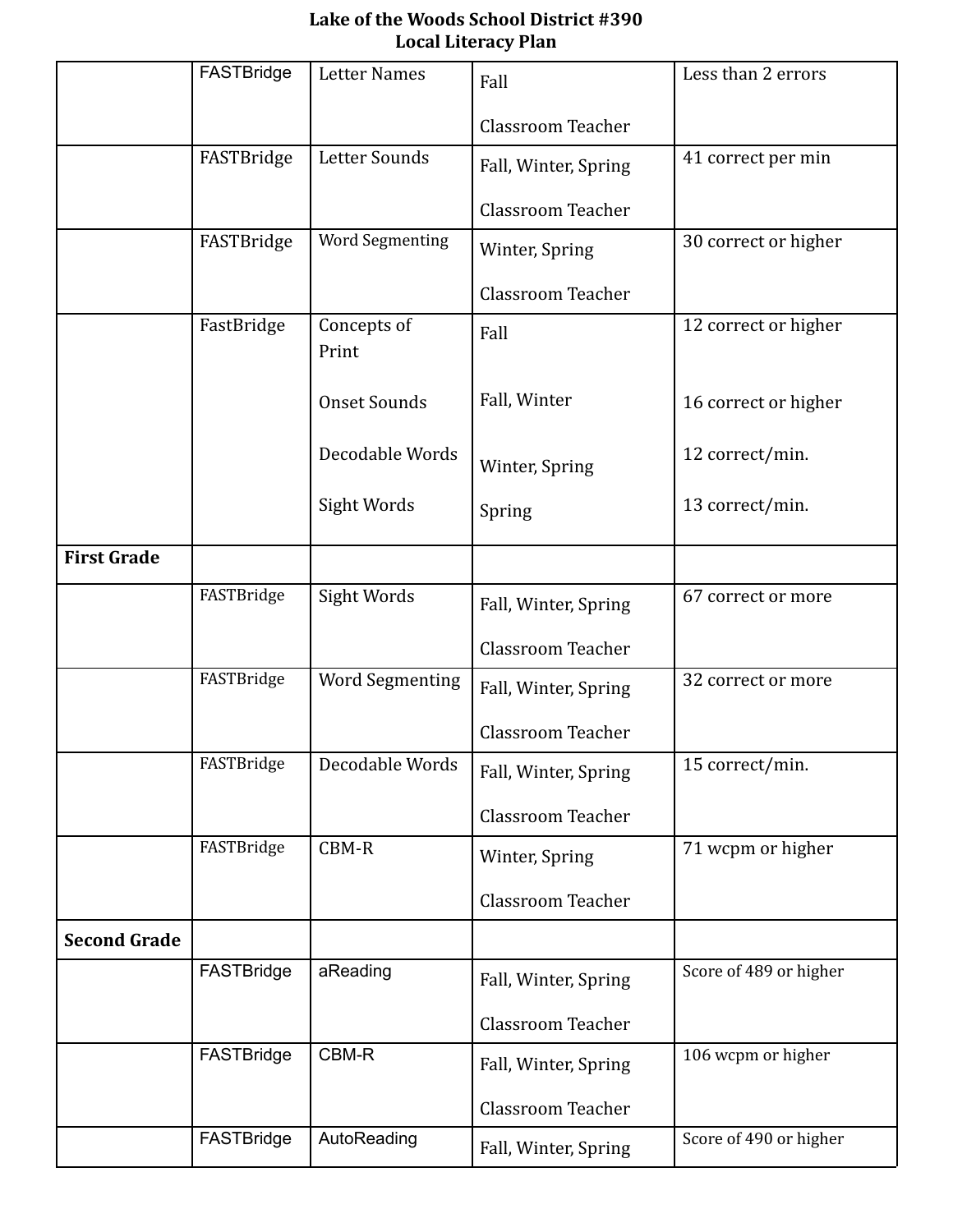|                     | FASTBridge | <b>Letter Names</b>    | Fall                     | Less than 2 errors     |
|---------------------|------------|------------------------|--------------------------|------------------------|
|                     |            |                        |                          |                        |
|                     |            |                        | <b>Classroom Teacher</b> |                        |
|                     | FASTBridge | Letter Sounds          | Fall, Winter, Spring     | 41 correct per min     |
|                     |            |                        | <b>Classroom Teacher</b> |                        |
|                     | FASTBridge | Word Segmenting        | Winter, Spring           | 30 correct or higher   |
|                     |            |                        | <b>Classroom Teacher</b> |                        |
|                     | FastBridge | Concepts of<br>Print   | Fall                     | 12 correct or higher   |
|                     |            | <b>Onset Sounds</b>    | Fall, Winter             | 16 correct or higher   |
|                     |            | Decodable Words        | Winter, Spring           | 12 correct/min.        |
|                     |            | Sight Words            | Spring                   | 13 correct/min.        |
| <b>First Grade</b>  |            |                        |                          |                        |
|                     | FASTBridge | Sight Words            | Fall, Winter, Spring     | 67 correct or more     |
|                     |            |                        | <b>Classroom Teacher</b> |                        |
|                     | FASTBridge | <b>Word Segmenting</b> | Fall, Winter, Spring     | 32 correct or more     |
|                     |            |                        | <b>Classroom Teacher</b> |                        |
|                     | FASTBridge | Decodable Words        | Fall, Winter, Spring     | 15 correct/min.        |
|                     |            |                        | <b>Classroom Teacher</b> |                        |
|                     | FASTBridge | CBM-R                  | Winter, Spring           | 71 wcpm or higher      |
|                     |            |                        | <b>Classroom Teacher</b> |                        |
| <b>Second Grade</b> |            |                        |                          |                        |
|                     | FASTBridge | aReading               | Fall, Winter, Spring     | Score of 489 or higher |
|                     |            |                        | <b>Classroom Teacher</b> |                        |
|                     | FASTBridge | CBM-R                  | Fall, Winter, Spring     | 106 wcpm or higher     |
|                     |            |                        | <b>Classroom Teacher</b> |                        |
|                     | FASTBridge | AutoReading            | Fall, Winter, Spring     | Score of 490 or higher |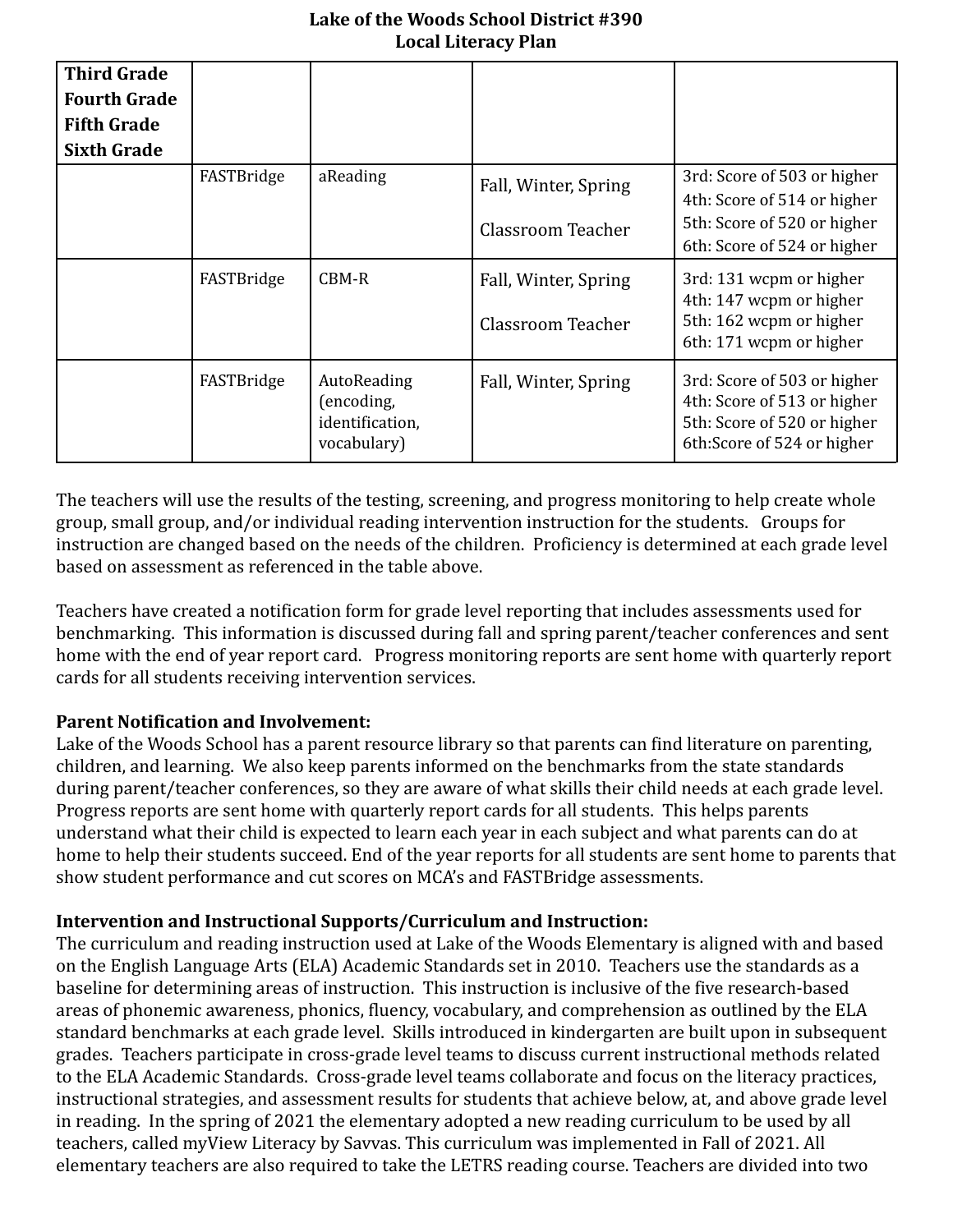| <b>Third Grade</b><br><b>Fourth Grade</b><br><b>Fifth Grade</b><br><b>Sixth Grade</b> |            |                                                             |                                           |                                                                                                                          |
|---------------------------------------------------------------------------------------|------------|-------------------------------------------------------------|-------------------------------------------|--------------------------------------------------------------------------------------------------------------------------|
|                                                                                       | FASTBridge | aReading                                                    | Fall, Winter, Spring                      | 3rd: Score of 503 or higher<br>4th: Score of 514 or higher                                                               |
|                                                                                       |            |                                                             | Classroom Teacher                         | 5th: Score of 520 or higher<br>6th: Score of 524 or higher                                                               |
|                                                                                       | FASTBridge | CBM-R                                                       | Fall, Winter, Spring<br>Classroom Teacher | 3rd: 131 wcpm or higher<br>4th: 147 wcpm or higher<br>5th: 162 wcpm or higher<br>6th: 171 wcpm or higher                 |
|                                                                                       | FASTBridge | AutoReading<br>(encoding,<br>identification,<br>vocabulary) | Fall, Winter, Spring                      | 3rd: Score of 503 or higher<br>4th: Score of 513 or higher<br>5th: Score of 520 or higher<br>6th: Score of 524 or higher |

The teachers will use the results of the testing, screening, and progress monitoring to help create whole group, small group, and/or individual reading intervention instruction for the students. Groups for instruction are changed based on the needs of the children. Proficiency is determined at each grade level based on assessment as referenced in the table above.

Teachers have created a notification form for grade level reporting that includes assessments used for benchmarking. This information is discussed during fall and spring parent/teacher conferences and sent home with the end of year report card. Progress monitoring reports are sent home with quarterly report cards for all students receiving intervention services.

# **Parent Notification and Involvement:**

Lake of the Woods School has a parent resource library so that parents can find literature on parenting, children, and learning. We also keep parents informed on the benchmarks from the state standards during parent/teacher conferences, so they are aware of what skills their child needs at each grade level. Progress reports are sent home with quarterly report cards for all students. This helps parents understand what their child is expected to learn each year in each subject and what parents can do at home to help their students succeed. End of the year reports for all students are sent home to parents that show student performance and cut scores on MCA's and FASTBridge assessments.

# **Intervention and Instructional Supports/Curriculum and Instruction:**

The curriculum and reading instruction used at Lake of the Woods Elementary is aligned with and based on the English Language Arts (ELA) Academic Standards set in 2010. Teachers use the standards as a baseline for determining areas of instruction. This instruction is inclusive of the five research-based areas of phonemic awareness, phonics, fluency, vocabulary, and comprehension as outlined by the ELA standard benchmarks at each grade level. Skills introduced in kindergarten are built upon in subsequent grades. Teachers participate in cross-grade level teams to discuss current instructional methods related to the ELA Academic Standards. Cross-grade level teams collaborate and focus on the literacy practices, instructional strategies, and assessment results for students that achieve below, at, and above grade level in reading. In the spring of 2021 the elementary adopted a new reading curriculum to be used by all teachers, called myView Literacy by Savvas. This curriculum was implemented in Fall of 2021. All elementary teachers are also required to take the LETRS reading course. Teachers are divided into two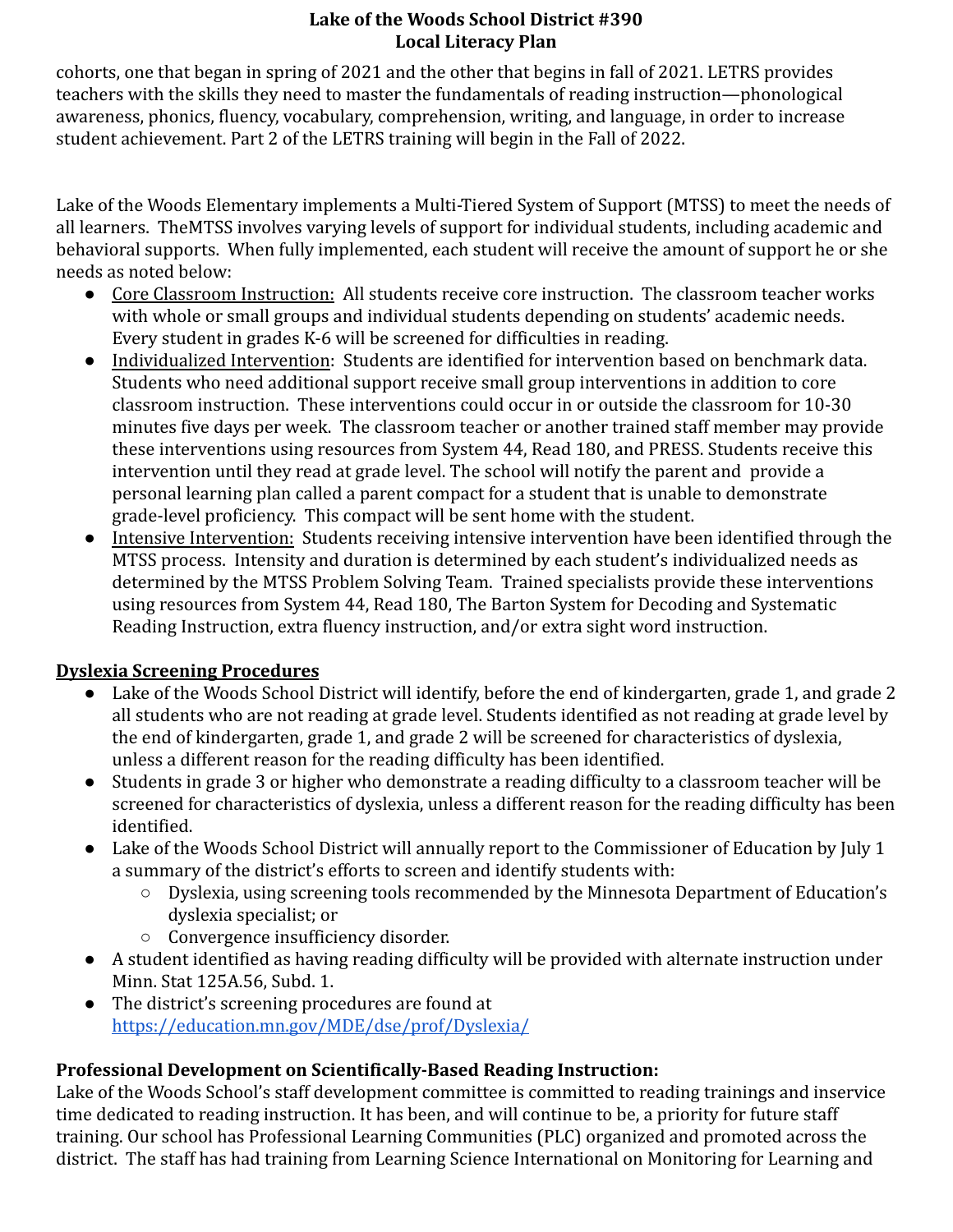cohorts, one that began in spring of 2021 and the other that begins in fall of 2021. LETRS provides teachers with the skills they need to master the fundamentals of reading instruction—phonological awareness, phonics, fluency, vocabulary, comprehension, writing, and language, in order to increase student achievement. Part 2 of the LETRS training will begin in the Fall of 2022.

Lake of the Woods Elementary implements a Multi-Tiered System of Support (MTSS) to meet the needs of all learners. TheMTSS involves varying levels of support for individual students, including academic and behavioral supports. When fully implemented, each student will receive the amount of support he or she needs as noted below:

- Core Classroom Instruction: All students receive core instruction. The classroom teacher works with whole or small groups and individual students depending on students' academic needs. Every student in grades K-6 will be screened for difficulties in reading.
- Individualized Intervention: Students are identified for intervention based on benchmark data. Students who need additional support receive small group interventions in addition to core classroom instruction. These interventions could occur in or outside the classroom for 10-30 minutes five days per week. The classroom teacher or another trained staff member may provide these interventions using resources from System 44, Read 180, and PRESS. Students receive this intervention until they read at grade level. The school will notify the parent and provide a personal learning plan called a parent compact for a student that is unable to demonstrate grade-level proficiency. This compact will be sent home with the student.
- Intensive Intervention: Students receiving intensive intervention have been identified through the MTSS process. Intensity and duration is determined by each student's individualized needs as determined by the MTSS Problem Solving Team. Trained specialists provide these interventions using resources from System 44, Read 180, The Barton System for Decoding and Systematic Reading Instruction, extra fluency instruction, and/or extra sight word instruction.

# **Dyslexia Screening Procedures**

- Lake of the Woods School District will identify, before the end of kindergarten, grade 1, and grade 2 all students who are not reading at grade level. Students identified as not reading at grade level by the end of kindergarten, grade 1, and grade 2 will be screened for characteristics of dyslexia, unless a different reason for the reading difficulty has been identified.
- Students in grade 3 or higher who demonstrate a reading difficulty to a classroom teacher will be screened for characteristics of dyslexia, unless a different reason for the reading difficulty has been identified.
- Lake of the Woods School District will annually report to the Commissioner of Education by July 1 a summary of the district's efforts to screen and identify students with:
	- Dyslexia, using screening tools recommended by the Minnesota Department of Education's dyslexia specialist; or
	- Convergence insufficiency disorder.
- A student identified as having reading difficulty will be provided with alternate instruction under Minn. Stat 125A.56, Subd. 1.
- The district's screening procedures are found at <https://education.mn.gov/MDE/dse/prof/Dyslexia/>

# **Professional Development on Scientifically-Based Reading Instruction:**

Lake of the Woods School's staff development committee is committed to reading trainings and inservice time dedicated to reading instruction. It has been, and will continue to be, a priority for future staff training. Our school has Professional Learning Communities (PLC) organized and promoted across the district. The staff has had training from Learning Science International on Monitoring for Learning and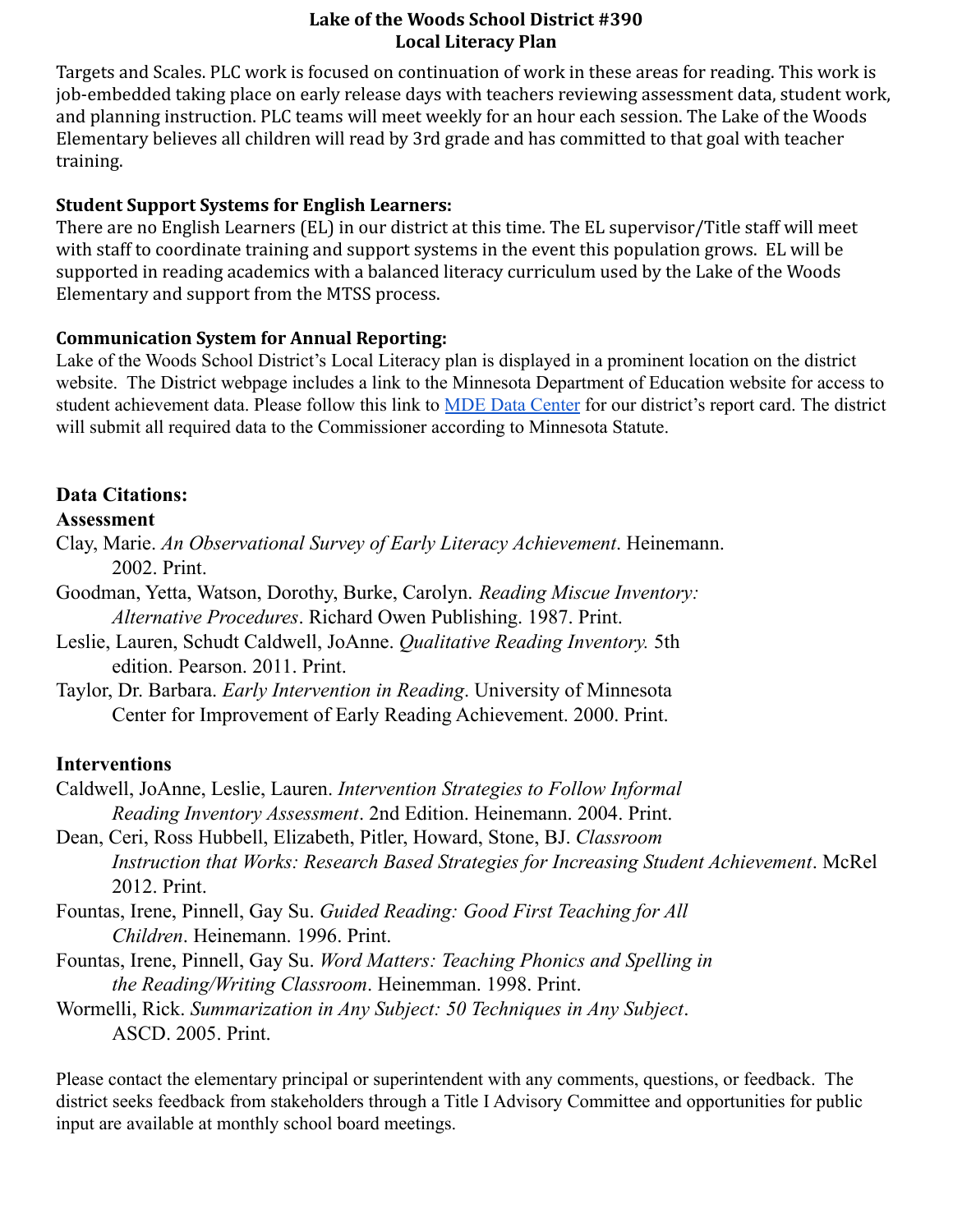Targets and Scales. PLC work is focused on continuation of work in these areas for reading. This work is job-embedded taking place on early release days with teachers reviewing assessment data, student work, and planning instruction. PLC teams will meet weekly for an hour each session. The Lake of the Woods Elementary believes all children will read by 3rd grade and has committed to that goal with teacher training.

#### **Student Support Systems for English Learners:**

There are no English Learners (EL) in our district at this time. The EL supervisor/Title staff will meet with staff to coordinate training and support systems in the event this population grows. EL will be supported in reading academics with a balanced literacy curriculum used by the Lake of the Woods Elementary and support from the MTSS process.

### **Communication System for Annual Reporting:**

Lake of the Woods School District's Local Literacy plan is displayed in a prominent location on the district website. The District webpage includes a link to the Minnesota Department of Education website for access to student achievement data. Please follow this link to [MDE Data Center](https://rc.education.mn.gov/#mySchool/p--3) for our district's report card. The district will submit all required data to the Commissioner according to Minnesota Statute.

## **Data Citations:**

### **Assessment**

- Clay, Marie. *An Observational Survey of Early Literacy Achievement*. Heinemann. 2002. Print.
- Goodman, Yetta, Watson, Dorothy, Burke, Carolyn. *Reading Miscue Inventory: Alternative Procedures*. Richard Owen Publishing. 1987. Print.
- Leslie, Lauren, Schudt Caldwell, JoAnne. *Qualitative Reading Inventory.* 5th edition. Pearson. 2011. Print.
- Taylor, Dr. Barbara. *Early Intervention in Reading*. University of Minnesota Center for Improvement of Early Reading Achievement. 2000. Print.

# **Interventions**

- Caldwell, JoAnne, Leslie, Lauren. *Intervention Strategies to Follow Informal Reading Inventory Assessment*. 2nd Edition. Heinemann. 2004. Print.
- Dean, Ceri, Ross Hubbell, Elizabeth, Pitler, Howard, Stone, BJ. *Classroom Instruction that Works: Research Based Strategies for Increasing Student Achievement*. McRel 2012. Print.
- Fountas, Irene, Pinnell, Gay Su. *Guided Reading: Good First Teaching for All Children*. Heinemann. 1996. Print.
- Fountas, Irene, Pinnell, Gay Su. *Word Matters: Teaching Phonics and Spelling in the Reading/Writing Classroom*. Heinemman. 1998. Print.
- Wormelli, Rick. *Summarization in Any Subject: 50 Techniques in Any Subject*. ASCD. 2005. Print.

Please contact the elementary principal or superintendent with any comments, questions, or feedback. The district seeks feedback from stakeholders through a Title I Advisory Committee and opportunities for public input are available at monthly school board meetings.